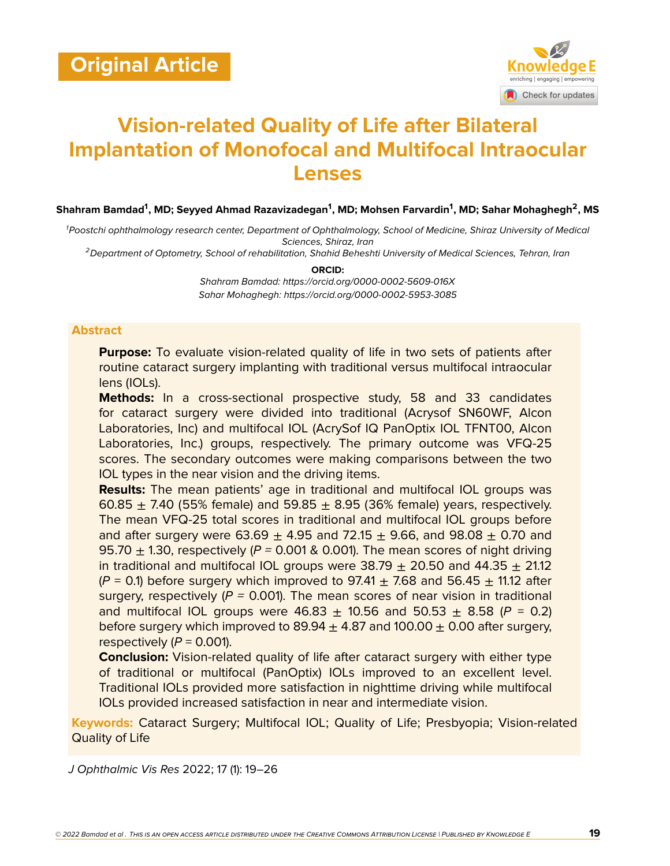

# **Vision-related Quality of Life after Bilateral Implantation of Monofocal and Multifocal Intraocular Lenses**

 $\boldsymbol{\mathsf{Shahram\ Bandal}}^{\boldsymbol{1}},$  MD; Seyyed Ahmad Razavizadegan<sup>1</sup>, MD; Mohsen Farvardin<sup>1</sup>, MD; Sahar Mohaghegh<sup>2</sup>, MS

*<sup>1</sup>Poostchi ophthalmology research center, Department of Ophthalmology, School of Medicine, Shiraz University of Medical Sciences, Shiraz, Iran*

*<sup>2</sup>Department of Optometry, School of rehabilitation, Shahid Beheshti University of Medical Sciences, Tehran, Iran*

**ORCID:**

*Shahram Bamdad: https://orcid.org/0000-0002-5609-016X Sahar Mohaghegh: https://orcid.org/0000-0002-5953-3085*

## **Abstract**

**Purpose:** To evaluate vision-related quality of life in two sets of patients after routine cataract surgery implanting with traditional versus multifocal intraocular lens (IOLs).

**Methods:** In a cross-sectional prospective study, 58 and 33 candidates for cataract surgery were divided into traditional (Acrysof SN60WF, Alcon Laboratories, Inc) and multifocal IOL (AcrySof IQ PanOptix IOL TFNT00, Alcon Laboratories, Inc.) groups, respectively. The primary outcome was VFQ-25 scores. The secondary outcomes were making comparisons between the two IOL types in the near vision and the driving items.

**Results:** The mean patients' age in traditional and multifocal IOL groups was 60.85  $\pm$  7.40 (55% female) and 59.85  $\pm$  8.95 (36% female) years, respectively. The mean VFQ-25 total scores in traditional and multifocal IOL groups before and after surgery were  $63.69 \pm 4.95$  and  $72.15 \pm 9.66$ , and  $98.08 \pm 0.70$  and 95.70  $\pm$  1.30, respectively ( $P = 0.001$  & 0.001). The mean scores of night driving in traditional and multifocal IOL groups were  $38.79 \pm 20.50$  and  $44.35 \pm 21.12$  $(P = 0.1)$  before surgery which improved to 97.41  $\pm$  7.68 and 56.45  $\pm$  11.12 after surgery, respectively (*P =* 0.001). The mean scores of near vision in traditional and multifocal IOL groups were  $46.83 \pm 10.56$  and  $50.53 \pm 8.58$  ( $P = 0.2$ ) before surgery which improved to  $89.94 + 4.87$  and  $100.00 + 0.00$  after surgery, respectively  $(P = 0.001)$ .

**Conclusion:** Vision-related quality of life after cataract surgery with either type of traditional or multifocal (PanOptix) IOLs improved to an excellent level. Traditional IOLs provided more satisfaction in nighttime driving while multifocal IOLs provided increased satisfaction in near and intermediate vision.

**Keywords:** Cataract Surgery; Multifocal IOL; Quality of Life; Presbyopia; Vision-related Quality of Life

*J Ophthalmic Vis Res* 2022; 17 (1): 19–26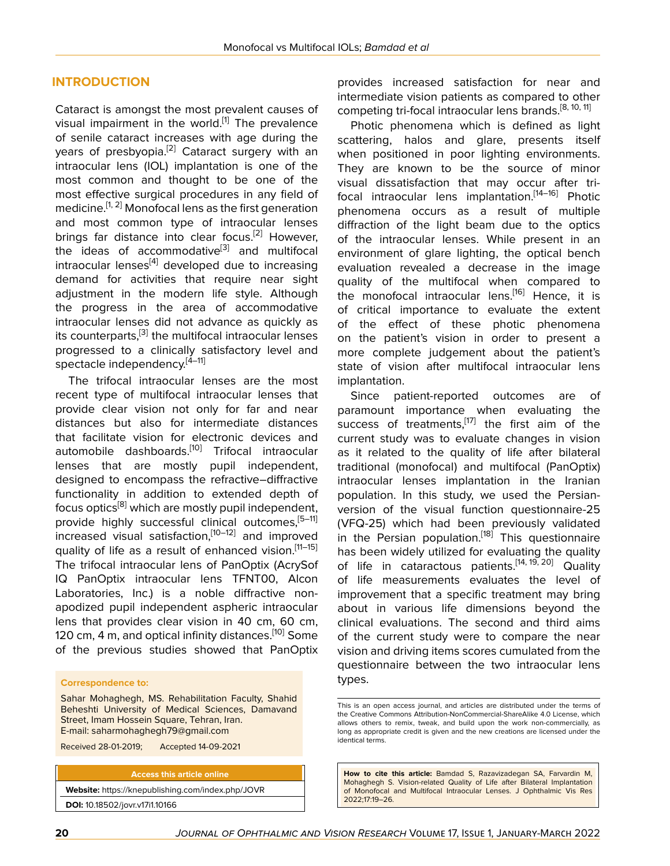### **INTRODUCTION**

Cataract is amongst the most prevalent causes of visual impairment in the world.<sup>[[1\]](#page-6-0)</sup> The prevalence of senile cataract increases with age during the years of presbyopia.<sup>[\[2\]](#page-6-1)</sup> Cataract surgery with an intraocular lens (IOL) implantation is one of the most common and thought to be one of the most effective surgical procedures in any field of medicine.<sup>[[1](#page-6-0), [2\]](#page-6-1)</sup> Monofocal lens as the first generation and most common type of intraocular lenses brings far distance into clear focus.<sup>[\[2\]](#page-6-1)</sup> However, the ideas of accommodative<sup>[\[3\]](#page-6-2)</sup> and multifocal intraocular lenses $[4]$  developed due to increasing demand for activities that require near sight adjustment in the modern life style. Although the progress in the area of accommodative intraocular lenses did not advance as quickly as its counterparts,<sup>[\[3](#page-6-2)]</sup> the multifocal intraocular lenses progressed to a clinically satisfactory level and spectacle independency.<sup>[[4](#page-6-3)-[11\]](#page-7-0)</sup>

The trifocal intraocular lenses are the most recent type of multifocal intraocular lenses that provide clear vision not only for far and near distances but also for intermediate distances that facilitate vision for electronic devices and automobile dashboards.<sup>[\[10\]](#page-7-1)</sup> Trifocal intraocular lenses that are mostly pupil independent, designed to encompass the refractive–diffractive functionality in addition to extended depth of focus optics $^{[8]}$  $^{[8]}$  $^{[8]}$  which are mostly pupil independent, provide highly successful clinical outcomes,<sup>[5-[11](#page-7-0)]</sup> increased visual satisfaction, [[10](#page-7-1)-12] and improved quality of life as a result of enhanced vision.<sup>[11-[15](#page-7-4)]</sup> The trifocal intraocular lens of PanOptix (AcrySof IQ PanOptix intraocular lens TFNT00, Alcon Laboratories, Inc.) is a noble diffractive nonapodized pupil independent aspheric intraocular lens that provides clear vision in 40 cm, 60 cm, 120 cm, 4 m, and optical infinity distances.<sup>[[10](#page-7-1)]</sup> Some of the previous studies showed that PanOptix

#### **Correspondence to:**

Sahar Mohaghegh, MS. Rehabilitation Faculty, Shahid Beheshti University of Medical Sciences, Damavand Street, Imam Hossein Square, Tehran, Iran. E-mail: saharmohaghegh79@gmail.com

Received 28-01-2019; Accepted 14-09-2021

**Access this article online Website:** <https://knepublishing.com/index.php/JOVR> **DOI:** 10.18502/jovr.v17i1.10166

provides increased satisfaction for near and intermediate vision patients as compared to other competing tri-focal intraocular lens brands.<sup>[[8](#page-7-2), [10](#page-7-1), [11](#page-7-0)]</sup>

Photic phenomena which is defined as light scattering, halos and glare, presents itself when positioned in poor lighting environments. They are known to be the source of minor visual dissatisfaction that may occur after trifocal intraocular lens implantation.[[14–](#page-7-5)[16](#page-7-6)] Photic phenomena occurs as a result of multiple diffraction of the light beam due to the optics of the intraocular lenses. While present in an environment of glare lighting, the optical bench evaluation revealed a decrease in the image quality of the multifocal when compared to the monofocal intraocular lens.<sup>[[16\]](#page-7-6)</sup> Hence, it is of critical importance to evaluate the extent of the effect of these photic phenomena on the patient's vision in order to present a more complete judgement about the patient's state of vision after multifocal intraocular lens implantation.

Since patient-reported outcomes are of paramount importance when evaluating the success of treatments,<sup>[\[17](#page-7-7)]</sup> the first aim of the current study was to evaluate changes in vision as it related to the quality of life after bilateral traditional (monofocal) and multifocal (PanOptix) intraocular lenses implantation in the Iranian population. In this study, we used the Persianversion of the visual function questionnaire-25 (VFQ-25) which had been previously validated in the Persian population.<sup>[[18\]](#page-7-8)</sup> This questionnaire has been widely utilized for evaluating the quality of life in cataractous patients.<sup>[\[14](#page-7-5), [19,](#page-7-9) [20\]](#page-7-10)</sup> Quality of life measurements evaluates the level of improvement that a specific treatment may bring about in various life dimensions beyond the clinical evaluations. The second and third aims of the current study were to compare the near vision and driving items scores cumulated from the questionnaire between the two intraocular lens types.

**How to cite this article:** Bamdad S, Razavizadegan SA, Farvardin M, Mohaghegh S. Vision-related Quality of Life after Bilateral Implantation of Monofocal and Multifocal Intraocular Lenses. J Ophthalmic Vis Res 2022;17:19–26.

This is an open access journal, and articles are distributed under the terms of the Creative Commons Attribution-NonCommercial-ShareAlike 4.0 License, which allows others to remix, tweak, and build upon the work non-commercially, as long as appropriate credit is given and the new creations are licensed under the identical terms.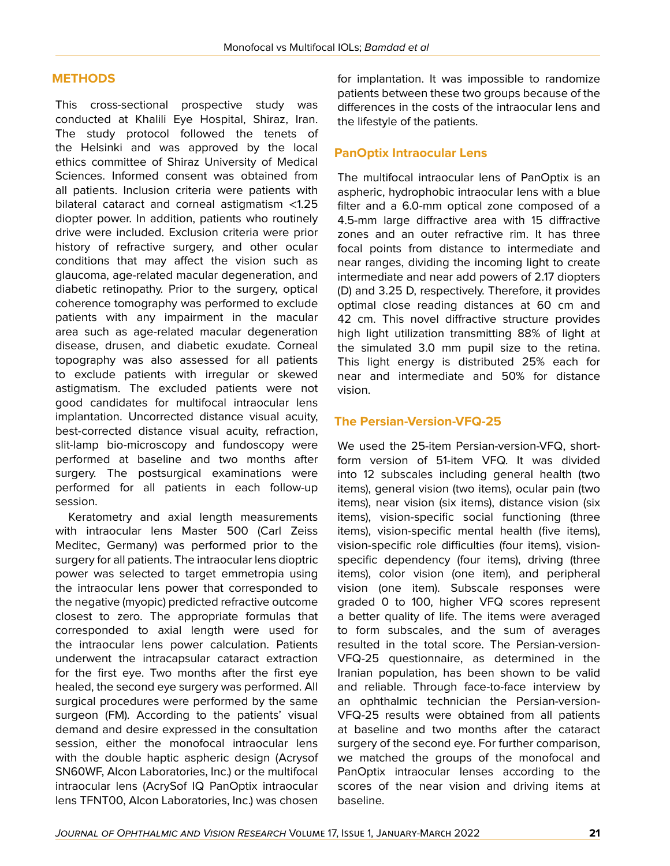# **METHODS**

This cross-sectional prospective study was conducted at Khalili Eye Hospital, Shiraz, Iran. The study protocol followed the tenets of the Helsinki and was approved by the local ethics committee of Shiraz University of Medical Sciences. Informed consent was obtained from all patients. Inclusion criteria were patients with bilateral cataract and corneal astigmatism <1.25 diopter power. In addition, patients who routinely drive were included. Exclusion criteria were prior history of refractive surgery, and other ocular conditions that may affect the vision such as glaucoma, age-related macular degeneration, and diabetic retinopathy. Prior to the surgery, optical coherence tomography was performed to exclude patients with any impairment in the macular area such as age-related macular degeneration disease, drusen, and diabetic exudate. Corneal topography was also assessed for all patients to exclude patients with irregular or skewed astigmatism. The excluded patients were not good candidates for multifocal intraocular lens implantation. Uncorrected distance visual acuity, best-corrected distance visual acuity, refraction, slit-lamp bio-microscopy and fundoscopy were performed at baseline and two months after surgery. The postsurgical examinations were performed for all patients in each follow-up session.

Keratometry and axial length measurements with intraocular lens Master 500 (Carl Zeiss Meditec, Germany) was performed prior to the surgery for all patients. The intraocular lens dioptric power was selected to target emmetropia using the intraocular lens power that corresponded to the negative (myopic) predicted refractive outcome closest to zero. The appropriate formulas that corresponded to axial length were used for the intraocular lens power calculation. Patients underwent the intracapsular cataract extraction for the first eye. Two months after the first eye healed, the second eye surgery was performed. All surgical procedures were performed by the same surgeon (FM). According to the patients' visual demand and desire expressed in the consultation session, either the monofocal intraocular lens with the double haptic aspheric design (Acrysof SN60WF, Alcon Laboratories, Inc.) or the multifocal intraocular lens (AcrySof IQ PanOptix intraocular lens TFNT00, Alcon Laboratories, Inc.) was chosen

for implantation. It was impossible to randomize patients between these two groups because of the differences in the costs of the intraocular lens and the lifestyle of the patients.

## **PanOptix Intraocular Lens**

The multifocal intraocular lens of PanOptix is an aspheric, hydrophobic intraocular lens with a blue filter and a 6.0-mm optical zone composed of a 4.5-mm large diffractive area with 15 diffractive zones and an outer refractive rim. It has three focal points from distance to intermediate and near ranges, dividing the incoming light to create intermediate and near add powers of 2.17 diopters (D) and 3.25 D, respectively. Therefore, it provides optimal close reading distances at 60 cm and 42 cm. This novel diffractive structure provides high light utilization transmitting 88% of light at the simulated 3.0 mm pupil size to the retina. This light energy is distributed 25% each for near and intermediate and 50% for distance vision.

# **The Persian-Version-VFQ-25**

We used the 25-item Persian-version-VFQ, shortform version of 51-item VFQ. It was divided into 12 subscales including general health (two items), general vision (two items), ocular pain (two items), near vision (six items), distance vision (six items), vision-specific social functioning (three items), vision-specific mental health (five items), vision-specific role difficulties (four items), visionspecific dependency (four items), driving (three items), color vision (one item), and peripheral vision (one item). Subscale responses were graded 0 to 100, higher VFQ scores represent a better quality of life. The items were averaged to form subscales, and the sum of averages resulted in the total score. The Persian-version-VFQ-25 questionnaire, as determined in the Iranian population, has been shown to be valid and reliable. Through face-to-face interview by an ophthalmic technician the Persian-version-VFQ-25 results were obtained from all patients at baseline and two months after the cataract surgery of the second eye. For further comparison, we matched the groups of the monofocal and PanOptix intraocular lenses according to the scores of the near vision and driving items at baseline.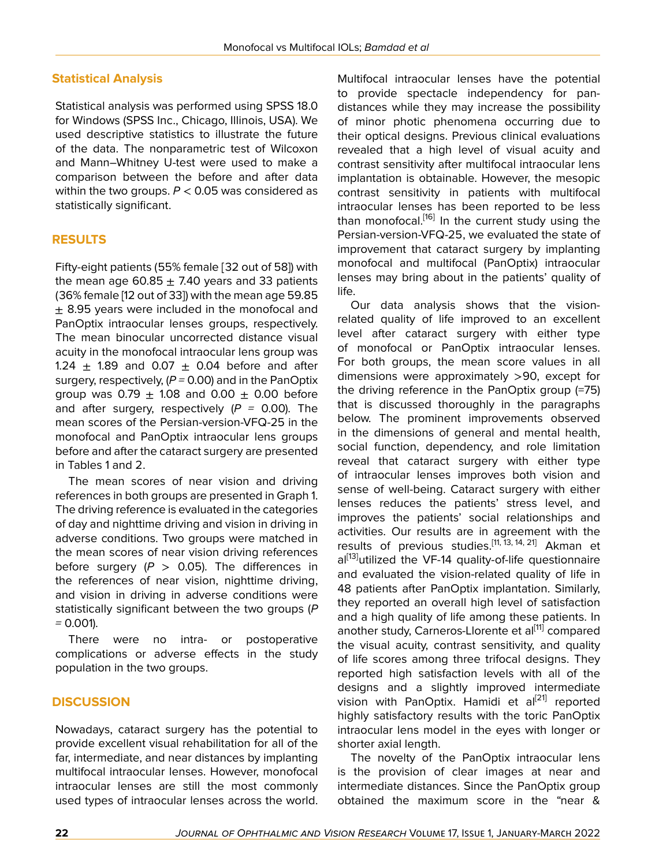## **Statistical Analysis**

Statistical analysis was performed using SPSS 18.0 for Windows (SPSS Inc., Chicago, Illinois, USA). We used descriptive statistics to illustrate the future of the data. The nonparametric test of Wilcoxon and Mann–Whitney U-test were used to make a comparison between the before and after data within the two groups. *P* < 0.05 was considered as statistically significant.

## **RESULTS**

Fifty-eight patients (55% female [32 out of 58]) with the mean age 60.85  $\pm$  7.40 years and 33 patients (36% female [12 out of 33]) with the mean age 59.85  $\pm$  8.95 years were included in the monofocal and PanOptix intraocular lenses groups, respectively. The mean binocular uncorrected distance visual acuity in the monofocal intraocular lens group was 1.24  $\pm$  1.89 and 0.07  $\pm$  0.04 before and after surgery, respectively, (*P =* 0.00) and in the PanOptix group was  $0.79 \pm 1.08$  and  $0.00 \pm 0.00$  before and after surgery, respectively (*P =* 0.00). The mean scores of the Persian-version-VFQ-25 in the monofocal and PanOptix intraocular lens groups before and after the cataract surgery are presented in Tables 1 and 2.

The mean scores of near vision and driving references in both groups are presented in Graph 1. The driving reference is evaluated in the categories of day and nighttime driving and vision in driving in adverse conditions. Two groups were matched in the mean scores of near vision driving references before surgery  $(P > 0.05)$ . The differences in the references of near vision, nighttime driving, and vision in driving in adverse conditions were statistically significant between the two groups (*P =* 0.001).

There were no intra- or postoperative complications or adverse effects in the study population in the two groups.

#### **DISCUSSION**

Nowadays, cataract surgery has the potential to provide excellent visual rehabilitation for all of the far, intermediate, and near distances by implanting multifocal intraocular lenses. However, monofocal intraocular lenses are still the most commonly used types of intraocular lenses across the world.

Multifocal intraocular lenses have the potential to provide spectacle independency for pandistances while they may increase the possibility of minor photic phenomena occurring due to their optical designs. Previous clinical evaluations revealed that a high level of visual acuity and contrast sensitivity after multifocal intraocular lens implantation is obtainable. However, the mesopic contrast sensitivity in patients with multifocal intraocular lenses has been reported to be less than monofocal.<sup>[[16\]](#page-7-6)</sup> In the current study using the Persian-version-VFQ-25, we evaluated the state of improvement that cataract surgery by implanting monofocal and multifocal (PanOptix) intraocular lenses may bring about in the patients' quality of life.

Our data analysis shows that the visionrelated quality of life improved to an excellent level after cataract surgery with either type of monofocal or PanOptix intraocular lenses. For both groups, the mean score values in all dimensions were approximately >90, except for the driving reference in the PanOptix group (=75) that is discussed thoroughly in the paragraphs below. The prominent improvements observed in the dimensions of general and mental health, social function, dependency, and role limitation reveal that cataract surgery with either type of intraocular lenses improves both vision and sense of well-being. Cataract surgery with either lenses reduces the patients' stress level, and improves the patients' social relationships and activities. Our results are in agreement with the results of previous studies.<sup>[\[11,](#page-7-0) [13](#page-7-11), [14,](#page-7-5) [21\]](#page-7-12)</sup> Akman et al<sup>[[13\]](#page-7-11)</sup>utilized the VF-14 quality-of-life questionnaire and evaluated the vision-related quality of life in 48 patients after PanOptix implantation. Similarly, they reported an overall high level of satisfaction and a high quality of life among these patients. In another study, Carneros-Llorente et al<sup>[[11](#page-7-0)]</sup> compared the visual acuity, contrast sensitivity, and quality of life scores among three trifocal designs. They reported high satisfaction levels with all of the designs and a slightly improved intermediate vision with PanOptix. Hamidi et al<sup>[[21](#page-7-12)]</sup> reported highly satisfactory results with the toric PanOptix intraocular lens model in the eyes with longer or shorter axial length.

The novelty of the PanOptix intraocular lens is the provision of clear images at near and intermediate distances. Since the PanOptix group obtained the maximum score in the "near &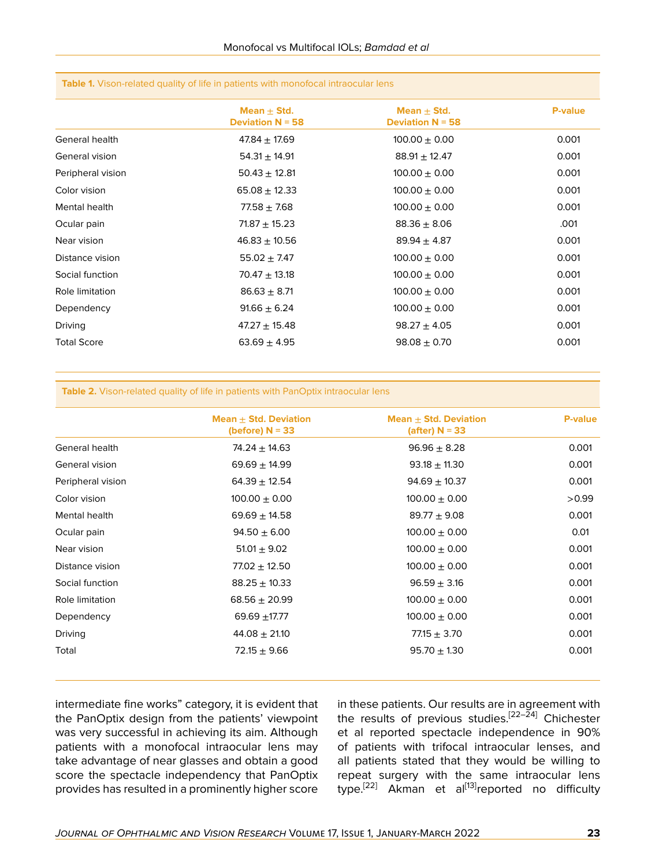| Mean $\pm$ Std.<br>Mean $\pm$ Std.<br><b>Deviation N = 58</b><br><b>Deviation N = 58</b><br>General health<br>$47.84 \pm 17.69$<br>$100.00 \pm 0.00$<br>General vision<br>$54.31 \pm 14.91$<br>$88.91 \pm 12.47$<br>$50.43 \pm 12.81$<br>$100.00 \pm 0.00$<br>Peripheral vision<br>$100.00 \pm 0.00$<br>Color vision<br>$65.08 \pm 12.33$<br>$100.00 \pm 0.00$<br>Mental health<br>$77.58 \pm 7.68$<br>Ocular pain<br>$71.87 \pm 15.23$<br>$88.36 \pm 8.06$<br>Near vision<br>$46.83 \pm 10.56$<br>$89.94 \pm 4.87$<br>Distance vision<br>$55.02 \pm 7.47$<br>$100.00 \pm 0.00$<br>Social function<br>$100.00 \pm 0.00$<br>$70.47 \pm 13.18$ | <b>P-value</b><br>0.001 |
|----------------------------------------------------------------------------------------------------------------------------------------------------------------------------------------------------------------------------------------------------------------------------------------------------------------------------------------------------------------------------------------------------------------------------------------------------------------------------------------------------------------------------------------------------------------------------------------------------------------------------------------------|-------------------------|
|                                                                                                                                                                                                                                                                                                                                                                                                                                                                                                                                                                                                                                              |                         |
|                                                                                                                                                                                                                                                                                                                                                                                                                                                                                                                                                                                                                                              |                         |
|                                                                                                                                                                                                                                                                                                                                                                                                                                                                                                                                                                                                                                              | 0.001                   |
|                                                                                                                                                                                                                                                                                                                                                                                                                                                                                                                                                                                                                                              | 0.001                   |
|                                                                                                                                                                                                                                                                                                                                                                                                                                                                                                                                                                                                                                              | 0.001                   |
|                                                                                                                                                                                                                                                                                                                                                                                                                                                                                                                                                                                                                                              | 0.001                   |
|                                                                                                                                                                                                                                                                                                                                                                                                                                                                                                                                                                                                                                              | .001                    |
|                                                                                                                                                                                                                                                                                                                                                                                                                                                                                                                                                                                                                                              | 0.001                   |
|                                                                                                                                                                                                                                                                                                                                                                                                                                                                                                                                                                                                                                              | 0.001                   |
|                                                                                                                                                                                                                                                                                                                                                                                                                                                                                                                                                                                                                                              | 0.001                   |
| Role limitation<br>$100.00 \pm 0.00$<br>$86.63 \pm 8.71$                                                                                                                                                                                                                                                                                                                                                                                                                                                                                                                                                                                     | 0.001                   |
| $91.66 \pm 6.24$<br>$100.00 \pm 0.00$<br>Dependency                                                                                                                                                                                                                                                                                                                                                                                                                                                                                                                                                                                          | 0.001                   |
| <b>Driving</b><br>$47.27 \pm 15.48$<br>$98.27 \pm 4.05$                                                                                                                                                                                                                                                                                                                                                                                                                                                                                                                                                                                      | 0.001                   |
| <b>Total Score</b><br>$63.69 \pm 4.95$<br>$98.08 \pm 0.70$                                                                                                                                                                                                                                                                                                                                                                                                                                                                                                                                                                                   | 0.001                   |

#### **Table 1.** Vison-related quality of life in patients with monofocal intraocular lens

#### **Table 2.** Vison-related quality of life in patients with PanOptix intraocular lens

|                   | Mean $\pm$ Std. Deviation<br>(before) $N = 33$ | Mean $\pm$ Std. Deviation<br>(after) $N = 33$ | <b>P-value</b> |
|-------------------|------------------------------------------------|-----------------------------------------------|----------------|
| General health    | 74.24 $\pm$ 14.63                              | $96.96 \pm 8.28$                              | 0.001          |
| General vision    | $69.69 \pm 14.99$                              | $93.18 \pm 11.30$                             | 0.001          |
| Peripheral vision | $64.39 \pm 12.54$                              | $94.69 \pm 10.37$                             | 0.001          |
| Color vision      | $100.00 \pm 0.00$                              | $100.00 \pm 0.00$                             | >0.99          |
| Mental health     | $69.69 \pm 14.58$                              | $89.77 + 9.08$                                | 0.001          |
| Ocular pain       | $94.50 \pm 6.00$                               | $100.00 \pm 0.00$                             | 0.01           |
| Near vision       | $51.01 \pm 9.02$                               | $100.00 \pm 0.00$                             | 0.001          |
| Distance vision   | $77.02 \pm 12.50$                              | $100.00 \pm 0.00$                             | 0.001          |
| Social function   | $88.25 \pm 10.33$                              | $96.59 \pm 3.16$                              | 0.001          |
| Role limitation   | $68.56 \pm 20.99$                              | $100.00 \pm 0.00$                             | 0.001          |
| Dependency        | 69.69 $\pm$ 17.77                              | $100.00 \pm 0.00$                             | 0.001          |
| Driving           | $44.08 \pm 21.10$                              | $77.15 \pm 3.70$                              | 0.001          |
| Total             | $72.15 \pm 9.66$                               | $95.70 \pm 1.30$                              | 0.001          |

intermediate fine works" category, it is evident that the PanOptix design from the patients' viewpoint was very successful in achieving its aim. Although patients with a monofocal intraocular lens may take advantage of near glasses and obtain a good score the spectacle independency that PanOptix provides has resulted in a prominently higher score

in these patients. Our results are in agreement with the results of previous studies.<sup>[[22](#page-7-13)[–24](#page-7-14)]</sup> Chichester et al reported spectacle independence in 90% of patients with trifocal intraocular lenses, and all patients stated that they would be willing to repeat surgery with the same intraocular lens type.<sup>[[22\]](#page-7-13)</sup> Akman et al<sup>[[13\]](#page-7-11)</sup>reported no difficulty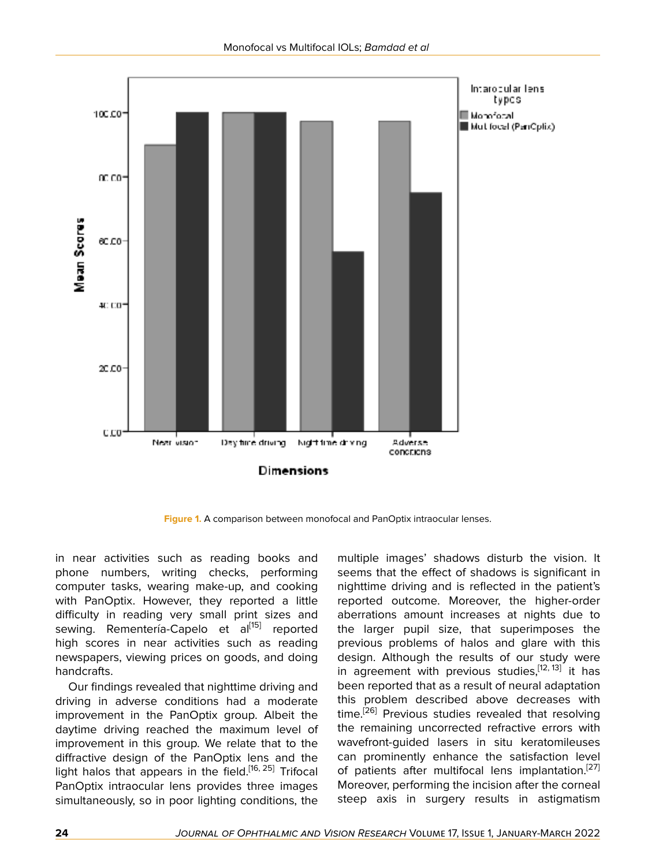

**Figure 1.** A comparison between monofocal and PanOptix intraocular lenses.

in near activities such as reading books and phone numbers, writing checks, performing computer tasks, wearing make-up, and cooking with PanOptix. However, they reported a little difficulty in reading very small print sizes and sewing. Rementería-Capelo et al<sup>[[15\]](#page-7-4)</sup> reported high scores in near activities such as reading newspapers, viewing prices on goods, and doing handcrafts.

Our findings revealed that nighttime driving and driving in adverse conditions had a moderate improvement in the PanOptix group. Albeit the daytime driving reached the maximum level of improvement in this group. We relate that to the diffractive design of the PanOptix lens and the light halos that appears in the field.<sup>[\[16](#page-7-6), [25](#page-7-15)]</sup> Trifocal PanOptix intraocular lens provides three images simultaneously, so in poor lighting conditions, the

multiple images' shadows disturb the vision. It seems that the effect of shadows is significant in nighttime driving and is reflected in the patient's reported outcome. Moreover, the higher-order aberrations amount increases at nights due to the larger pupil size, that superimposes the previous problems of halos and glare with this design. Although the results of our study were in agreement with previous studies,<sup>[[12,](#page-7-3) [13](#page-7-11)]</sup> it has been reported that as a result of neural adaptation this problem described above decreases with time.<sup>[[26\]](#page-7-16)</sup> Previous studies revealed that resolving the remaining uncorrected refractive errors with wavefront-guided lasers in situ keratomileuses can prominently enhance the satisfaction level of patients after multifocal lens implantation.<sup>[[27](#page-7-17)]</sup> Moreover, performing the incision after the corneal steep axis in surgery results in astigmatism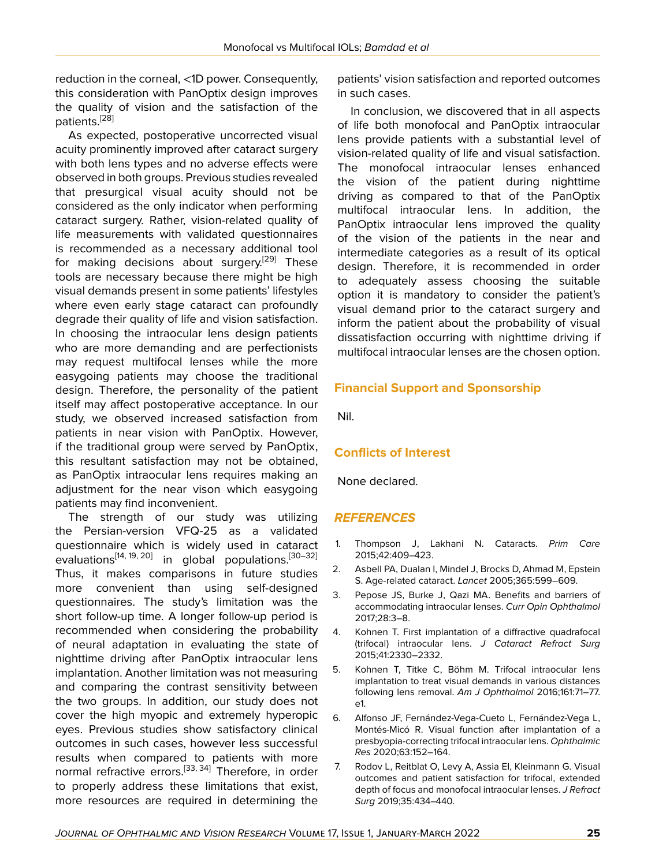reduction in the corneal, <1D power. Consequently, this consideration with PanOptix design improves the quality of vision and the satisfaction of the patients.<sup>[\[28](#page-7-18)]</sup>

As expected, postoperative uncorrected visual acuity prominently improved after cataract surgery with both lens types and no adverse effects were observed in both groups. Previous studies revealed that presurgical visual acuity should not be considered as the only indicator when performing cataract surgery. Rather, vision-related quality of life measurements with validated questionnaires is recommended as a necessary additional tool for making decisions about surgery.<sup>[[29\]](#page-7-19)</sup> These tools are necessary because there might be high visual demands present in some patients' lifestyles where even early stage cataract can profoundly degrade their quality of life and vision satisfaction. In choosing the intraocular lens design patients who are more demanding and are perfectionists may request multifocal lenses while the more easygoing patients may choose the traditional design. Therefore, the personality of the patient itself may affect postoperative acceptance. In our study, we observed increased satisfaction from patients in near vision with PanOptix. However, if the traditional group were served by PanOptix, this resultant satisfaction may not be obtained, as PanOptix intraocular lens requires making an adjustment for the near vison which easygoing patients may find inconvenient.

The strength of our study was utilizing the Persian-version VFQ-25 as a validated questionnaire which is widely used in cataract evaluations<sup>[[14,](#page-7-5) [19,](#page-7-9) [20\]](#page-7-10)</sup> in global populations.<sup>[[30–](#page-7-20)[32](#page-7-21)]</sup> Thus, it makes comparisons in future studies more convenient than using self-designed questionnaires. The study's limitation was the short follow-up time. A longer follow-up period is recommended when considering the probability of neural adaptation in evaluating the state of nighttime driving after PanOptix intraocular lens implantation. Another limitation was not measuring and comparing the contrast sensitivity between the two groups. In addition, our study does not cover the high myopic and extremely hyperopic eyes. Previous studies show satisfactory clinical outcomes in such cases, however less successful results when compared to patients with more normal refractive errors.<sup>[[33](#page-7-22), [34\]](#page-7-23)</sup> Therefore, in order to properly address these limitations that exist, more resources are required in determining the

patients' vision satisfaction and reported outcomes in such cases.

In conclusion, we discovered that in all aspects of life both monofocal and PanOptix intraocular lens provide patients with a substantial level of vision-related quality of life and visual satisfaction. The monofocal intraocular lenses enhanced the vision of the patient during nighttime driving as compared to that of the PanOptix multifocal intraocular lens. In addition, the PanOptix intraocular lens improved the quality of the vision of the patients in the near and intermediate categories as a result of its optical design. Therefore, it is recommended in order to adequately assess choosing the suitable option it is mandatory to consider the patient's visual demand prior to the cataract surgery and inform the patient about the probability of visual dissatisfaction occurring with nighttime driving if multifocal intraocular lenses are the chosen option.

# **Financial Support and Sponsorship**

Nil.

# **Conflicts of Interest**

None declared.

# *REFERENCES*

- <span id="page-6-0"></span>1. Thompson J, Lakhani N. Cataracts. *Prim Care* 2015;42:409–423.
- <span id="page-6-1"></span>2. Asbell PA, Dualan I, Mindel J, Brocks D, Ahmad M, Epstein S. Age-related cataract. *Lancet* 2005;365:599–609.
- <span id="page-6-2"></span>3. Pepose JS, Burke J, Qazi MA. Benefits and barriers of accommodating intraocular lenses. *Curr Opin Ophthalmol* 2017;28:3–8.
- <span id="page-6-3"></span>4. Kohnen T. First implantation of a diffractive quadrafocal (trifocal) intraocular lens. *J Cataract Refract Surg* 2015;41:2330–2332.
- <span id="page-6-4"></span>5. Kohnen T, Titke C, Böhm M. Trifocal intraocular lens implantation to treat visual demands in various distances following lens removal. *Am J Ophthalmol* 2016;161:71–77. e1.
- 6. Alfonso JF, Fernández-Vega-Cueto L, Fernández-Vega L, Montés-Micó R. Visual function after implantation of a presbyopia-correcting trifocal intraocular lens. *Ophthalmic Res* 2020;63:152–164.
- 7. Rodov L, Reitblat O, Levy A, Assia EI, Kleinmann G. Visual outcomes and patient satisfaction for trifocal, extended depth of focus and monofocal intraocular lenses. *J Refract Surg* 2019;35:434–440.